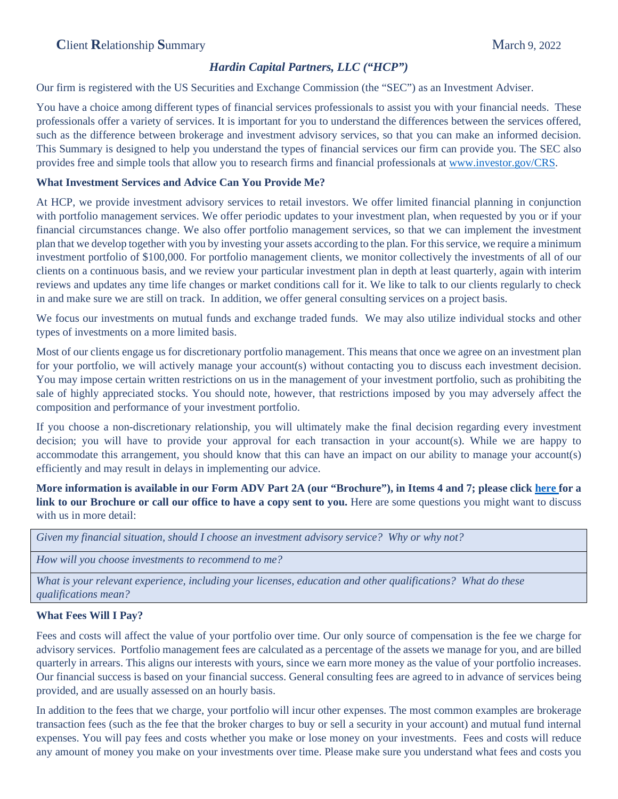# *Hardin Capital Partners, LLC ("HCP")*

Our firm is registered with the US Securities and Exchange Commission (the "SEC") as an Investment Adviser.

You have a choice among different types of financial services professionals to assist you with your financial needs. These professionals offer a variety of services. It is important for you to understand the differences between the services offered, such as the difference between brokerage and investment advisory services, so that you can make an informed decision. This Summary is designed to help you understand the types of financial services our firm can provide you. The SEC also provides free and simple tools that allow you to research firms and financial professionals at [www.investor.gov/CRS.](http://www.investor.gov/CRS)

## **What Investment Services and Advice Can You Provide Me?**

At HCP, we provide investment advisory services to retail investors. We offer limited financial planning in conjunction with portfolio management services. We offer periodic updates to your investment plan, when requested by you or if your financial circumstances change. We also offer portfolio management services, so that we can implement the investment plan that we develop together with you by investing your assets according to the plan. For this service, we require a minimum investment portfolio of \$100,000. For portfolio management clients, we monitor collectively the investments of all of our clients on a continuous basis, and we review your particular investment plan in depth at least quarterly, again with interim reviews and updates any time life changes or market conditions call for it. We like to talk to our clients regularly to check in and make sure we are still on track. In addition, we offer general consulting services on a project basis.

We focus our investments on mutual funds and exchange traded funds. We may also utilize individual stocks and other types of investments on a more limited basis.

Most of our clients engage us for discretionary portfolio management. This means that once we agree on an investment plan for your portfolio, we will actively manage your account(s) without contacting you to discuss each investment decision. You may impose certain written restrictions on us in the management of your investment portfolio, such as prohibiting the sale of highly appreciated stocks. You should note, however, that restrictions imposed by you may adversely affect the composition and performance of your investment portfolio.

If you choose a non-discretionary relationship, you will ultimately make the final decision regarding every investment decision; you will have to provide your approval for each transaction in your account(s). While we are happy to accommodate this arrangement, you should know that this can have an impact on our ability to manage your account(s) efficiently and may result in delays in implementing our advice.

**More information is available in our Form ADV Part 2A (our "Brochure"), in Items 4 and 7; please click [here f](https://adviserinfo.sec.gov/firm/summary/153023)or a link to our Brochure or call our office to have a copy sent to you.** Here are some questions you might want to discuss with us in more detail:

| Given my financial situation, should I choose an investment advisory service? Why or why not? |  |  |  |  |  |  |  |  |
|-----------------------------------------------------------------------------------------------|--|--|--|--|--|--|--|--|
|-----------------------------------------------------------------------------------------------|--|--|--|--|--|--|--|--|

*How will you choose investments to recommend to me?*

*What is your relevant experience, including your licenses, education and other qualifications? What do these qualifications mean?*

## **What Fees Will I Pay?**

Fees and costs will affect the value of your portfolio over time. Our only source of compensation is the fee we charge for advisory services. Portfolio management fees are calculated as a percentage of the assets we manage for you, and are billed quarterly in arrears. This aligns our interests with yours, since we earn more money as the value of your portfolio increases. Our financial success is based on your financial success. General consulting fees are agreed to in advance of services being provided, and are usually assessed on an hourly basis.

In addition to the fees that we charge, your portfolio will incur other expenses. The most common examples are brokerage transaction fees (such as the fee that the broker charges to buy or sell a security in your account) and mutual fund internal expenses. You will pay fees and costs whether you make or lose money on your investments. Fees and costs will reduce any amount of money you make on your investments over time. Please make sure you understand what fees and costs you